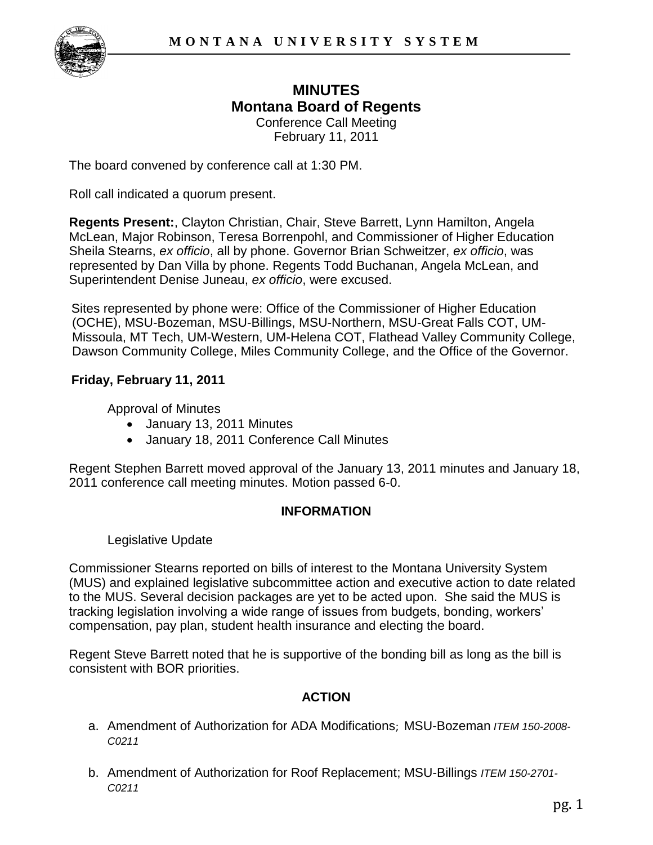

# **MINUTES Montana Board of Regents**  Conference Call Meeting

February 11, 2011

The board convened by conference call at 1:30 PM.

Roll call indicated a quorum present.

**Regents Present:**, Clayton Christian, Chair, Steve Barrett, Lynn Hamilton, Angela McLean, Major Robinson, Teresa Borrenpohl, and Commissioner of Higher Education Sheila Stearns, *ex officio*, all by phone. Governor Brian Schweitzer, *ex officio*, was represented by Dan Villa by phone. Regents Todd Buchanan, Angela McLean, and Superintendent Denise Juneau, *ex officio*, were excused.

Sites represented by phone were: Office of the Commissioner of Higher Education (OCHE), MSU-Bozeman, MSU-Billings, MSU-Northern, MSU-Great Falls COT, UM-Missoula, MT Tech, UM-Western, UM-Helena COT, Flathead Valley Community College, Dawson Community College, Miles Community College, and the Office of the Governor.

## **Friday, February 11, 2011**

Approval of Minutes

- January 13, 2011 Minutes
- January 18, 2011 Conference Call Minutes

Regent Stephen Barrett moved approval of the January 13, 2011 minutes and January 18, 2011 conference call meeting minutes. Motion passed 6-0.

## **INFORMATION**

## Legislative Update

Commissioner Stearns reported on bills of interest to the Montana University System (MUS) and explained legislative subcommittee action and executive action to date related to the MUS. Several decision packages are yet to be acted upon. She said the MUS is tracking legislation involving a wide range of issues from budgets, bonding, workers' compensation, pay plan, student health insurance and electing the board.

Regent Steve Barrett noted that he is supportive of the bonding bill as long as the bill is consistent with BOR priorities.

## **ACTION**

- a. Amendment of Authorization for ADA Modifications; MSU-Bozeman *ITEM 150-2008- C0211*
- b. Amendment of Authorization for Roof Replacement; MSU-Billings *ITEM 150-2701- C0211*